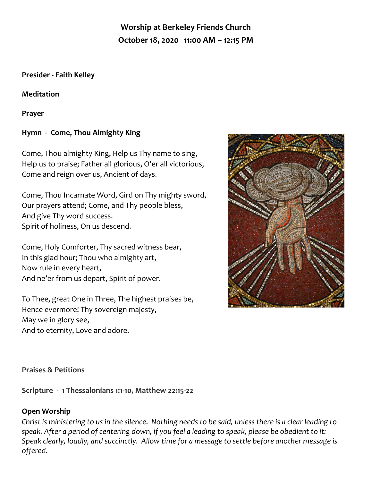# **Worship at Berkeley Friends Church October 18, 2020 11:00 AM – 12:15 PM**

### **Presider - Faith Kelley**

**Meditation**

**Prayer**

**Hymn - Come, Thou Almighty King**

Come, Thou almighty King, Help us Thy name to sing, Help us to praise; Father all glorious, O'er all victorious, Come and reign over us, Ancient of days.

Come, Thou Incarnate Word, Gird on Thy mighty sword, Our prayers attend; Come, and Thy people bless, And give Thy word success. Spirit of holiness, On us descend.

Come, Holy Comforter, Thy sacred witness bear, In this glad hour; Thou who almighty art, Now rule in every heart, And ne'er from us depart, Spirit of power.

To Thee, great One in Three, The highest praises be, Hence evermore! Thy sovereign majesty, May we in glory see, And to eternity, Love and adore.



**Praises & Petitions**

**Scripture - 1 Thessalonians 1:1-10, Matthew 22:15-22**

## **Open Worship**

*Christ is ministering to us in the silence. Nothing needs to be said, unless there is a clear leading to speak. After a period of centering down, if you feel a leading to speak, please be obedient to it: Speak clearly, loudly, and succinctly. Allow time for a message to settle before another message is offered.*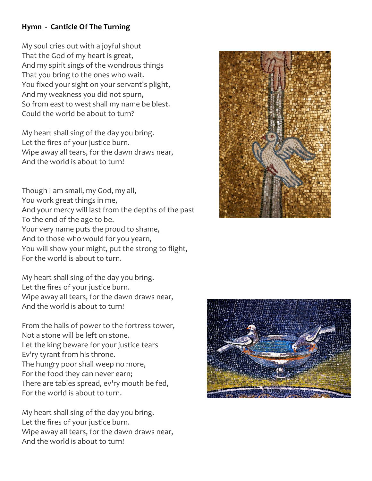## **Hymn - Canticle Of The Turning**

My soul cries out with a joyful shout That the God of my heart is great, And my spirit sings of the wondrous things That you bring to the ones who wait. You fixed your sight on your servant's plight, And my weakness you did not spurn, So from east to west shall my name be blest. Could the world be about to turn?

My heart shall sing of the day you bring. Let the fires of your justice burn. Wipe away all tears, for the dawn draws near, And the world is about to turn!

Though I am small, my God, my all, You work great things in me, And your mercy will last from the depths of the past To the end of the age to be. Your very name puts the proud to shame, And to those who would for you yearn, You will show your might, put the strong to flight, For the world is about to turn.

My heart shall sing of the day you bring. Let the fires of your justice burn. Wipe away all tears, for the dawn draws near, And the world is about to turn!

From the halls of power to the fortress tower, Not a stone will be left on stone. Let the king beware for your justice tears Ev'ry tyrant from his throne. The hungry poor shall weep no more, For the food they can never earn; There are tables spread, ev'ry mouth be fed, For the world is about to turn.

My heart shall sing of the day you bring. Let the fires of your justice burn. Wipe away all tears, for the dawn draws near, And the world is about to turn!



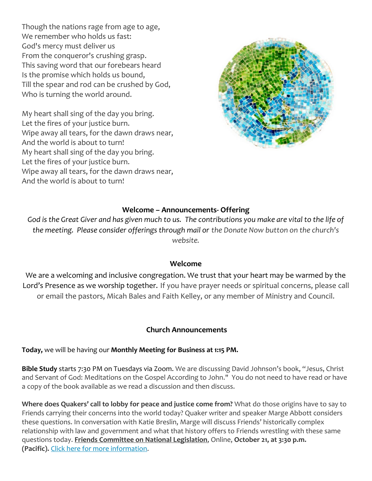Though the nations rage from age to age, We remember who holds us fast: God's mercy must deliver us From the conqueror's crushing grasp. This saving word that our forebears heard Is the promise which holds us bound, Till the spear and rod can be crushed by God, Who is turning the world around.

My heart shall sing of the day you bring. Let the fires of your justice burn. Wipe away all tears, for the dawn draws near, And the world is about to turn! My heart shall sing of the day you bring. Let the fires of your justice burn. Wipe away all tears, for the dawn draws near, And the world is about to turn!



#### **Welcome – Announcements- Offering**

*God is the Great Giver and has given much to us. The contributions you make are vital to the life of the meeting. Please consider offerings through mail or the Donate Now button on the church's website.*

#### **Welcome**

We are a welcoming and inclusive congregation. We trust that your heart may be warmed by the Lord's Presence as we worship together. If you have prayer needs or spiritual concerns, please call or email the pastors, Micah Bales and Faith Kelley, or any member of Ministry and Council.

#### **Church Announcements**

**Today,** we will be having our **Monthly Meeting for Business at 1:15 PM.**

**Bible Study** starts 7:30 PM on Tuesdays via Zoom. We are discussing David Johnson's book, "Jesus, Christ and Servant of God: Meditations on the Gospel According to John." You do not need to have read or have a copy of the book available as we read a discussion and then discuss.

**Where does Quakers' call to lobby for peace and justice come from?** What do those origins have to say to Friends carrying their concerns into the world today? Quaker writer and speaker Marge Abbott considers these questions. In conversation with Katie Breslin, Marge will discuss Friends' historically complex relationship with law and government and what that history offers to Friends wrestling with these same questions today. **Friends Committee on National Legislation**, Online, **October 21, at 3:30 p.m. (Pacific).** [Click here for more information.](https://scymf.us15.list-manage.com/track/click?u=b3919ba778f46050fb765c146&id=ce29a3a7e1&e=445a862d65)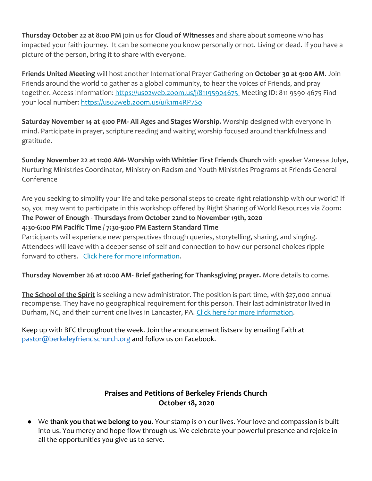**Thursday October 22 at 8:00 PM** join us for **Cloud of Witnesses** and share about someone who has impacted your faith journey. It can be someone you know personally or not. Living or dead. If you have a picture of the person, bring it to share with everyone.

**Friends United Meeting** will host another International Prayer Gathering on **October 30 at 9:00 AM.** Join Friends around the world to gather as a global community, to hear the voices of Friends, and pray together. Access Information: https://uso2web.zoom.us/j/81195904675 Meeting ID: 811 9590 4675 Find your local number: <https://us02web.zoom.us/u/k1m4RP7So>

**Saturday November 14 at 4:00 PM- All Ages and Stages Worship.** Worship designed with everyone in mind. Participate in prayer, scripture reading and waiting worship focused around thankfulness and gratitude.

**Sunday November 22 at 11:00 AM- Worship with Whittier First Friends Church** with speaker Vanessa Julye, Nurturing Ministries Coordinator, Ministry on Racism and Youth Ministries Programs at Friends General Conference

Are you seeking to simplify your life and take personal steps to create right relationship with our world? If so, you may want to participate in this workshop offered by Right Sharing of World Resources via Zoom: **The Power of Enough** - **Thursdays from October 22nd to November 19th, 2020 4:30-6:00 PM Pacific Time / 7:30-9:00 PM Eastern Standard Time**

Participants will experience new perspectives through queries, storytelling, sharing, and singing. Attendees will leave with a deeper sense of self and connection to how our personal choices ripple forward to others. [Click here for more information.](https://scymf.us15.list-manage.com/track/click?u=b3919ba778f46050fb765c146&id=919e6a28c2&e=445a862d65)

**Thursday November 26 at 10:00 AM**- **Brief gathering for Thanksgiving prayer.** More details to come.

**The School of the Spirit** is seeking a new administrator. The position is part time, with \$27,000 annual recompense. They have no geographical requirement for this person. Their last administrator lived in Durham, NC, and their current one lives in Lancaster, PA. [Click here for more information.](https://scymf.us15.list-manage.com/track/click?u=b3919ba778f46050fb765c146&id=3cbf98363c&e=445a862d65)

Keep up with BFC throughout the week. Join the announcement listserv by emailing Faith at [pastor@berkeleyfriendschurch.org](mailto:pastor@berkeleyfriendschurch.org) and follow us on Facebook.

## **Praises and Petitions of Berkeley Friends Church October 18, 2020**

● We **thank you that we belong to you.** Your stamp is on our lives. Your love and compassion is built into us. You mercy and hope flow through us. We celebrate your powerful presence and rejoice in all the opportunities you give us to serve.